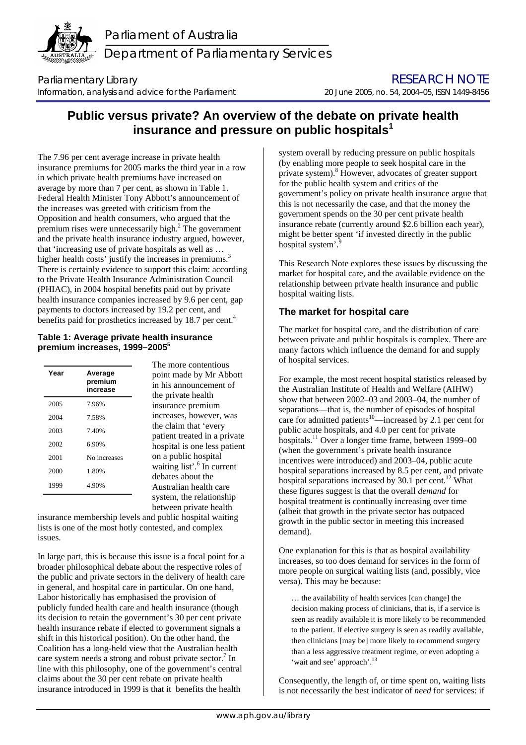

Parliament of Australia Department of Parliamentary Services

Parliamentary Library **Example 2018** Parliamentary Library **RESEARCH NOTE** Information, analysis and advice for the Parliament20 June 2005, no. 54, 2004–05, ISSN 1449-8456

# **Public versus private? An overview of the debate on private health insurance and pressure on public hospitals[1](#page-3-0)**

The 7.96 per cent average increase in private health insurance premiums for 2005 marks the third year in a row in which private health premiums have increased on average by more than 7 per cent, as shown in Table 1. Federal Health Minister Tony Abbott's announcement of the increases was greeted with criticism from the Opposition and health consumers, who argued that the premium rises were unnecessarily high. $2$  The government and the private health insurance industry argued, however, that 'increasing use of private hospitals as well as … higher health costs' justify the increases in premiums.<sup>3</sup> There is certainly evidence to support this claim: acc[ord](#page-3-2)ing to the Private Health Insurance Administration Council (PHIAC), in 2004 hospital benefits paid out by private health insurance companies increased by 9.6 per cent, gap payments to doctors increased by 19.2 per cent, and benefits paid for prosthetics increased by 18.7 per cent.<sup>[4](#page-3-3)</sup>

## **Table 1: Average private health insurance premium increases, 1999–200[55](#page-3-4)**

| Year | Average<br>premium<br>increase |
|------|--------------------------------|
| 2005 | 7.96%                          |
| 2004 | 7.58%                          |
| 2003 | 7.40%                          |
| 2002 | 6.90%                          |
| 2001 | No increases                   |
| 2000 | 1.80%                          |
| 1999 | 4.90%                          |

The more contentious point made by Mr Abbott in his announcement of the private health insurance premium increases, however, was the claim that 'every patient treated in a private hospital is one less patient on a public hospital waiting list'.<sup>[6](#page-3-5)</sup> In current debates about the Australian health care system, the relationship between private health

insurance membership levels and public hospital waiting lists is one of the most hotly contested, and complex issues.

In large part, this is because this issue is a focal point for a broader philosophical debate about the respective roles of the public and private sectors in the delivery of health care in general, and hospital care in particular. On one hand, Labor historically has emphasised the provision of publicly funded health care and health insurance (though its decision to retain the government's 30 per cent private health insurance rebate if elected to government signals a shift in this historical position). On the other hand, the Coalition has a long-held view that the Australian health care system needs a strong and robust private sector.<sup>[7](#page-3-6)</sup> In line with this philosophy, one of the government's central claims about the 30 per cent rebate on private health insurance introduced in 1999 is that it benefits the health

system overall by reducing pressure on public hospitals (by enabling more people to seek hospital care in the private system). 8 However, advocates of greater support for the public health system and critics of the government's policy on private health insurance argue that this is not necessarily the case, and that the money the government spends on the 30 per cent private health insurance rebate (currently around \$2.6 billion each year), might be better spent 'if invested directly in the public hospital system'.

This Research Note explores these issues by discussing the market for hospital care, and the available evidence on the relationship between private health insurance and public hospital waiting lists.

## **The market for hospital care**

The market for hospital care, and the distribution of care between private and public hospitals is complex. There are many factors which influence the demand for and supply of hospital services.

For example, the most recent hospital statistics released by the Australian Institute of Health and Welfare (AIHW) show that between 2002–03 and 2003–04, the number of separations—that is, the number of episodes of hospital care for admitted patients<sup>10</sup>—increased by 2.1 per cent for public acute hospitals, and 4.0 per cent for private hospitals.<sup>11</sup> Over a longer time frame, between 1999–00 (when the government's private health insurance incentives were introduced) and 2003–04, public acute hospital separations increased by 8.5 per cent, and private hospital separations increased by 30.1 per cent.<sup>12</sup> What these figures suggest is that the overall *demand* for hospital treatment is continually increasing over time (albeit that growth in the private sector has outpaced growth in the public sector in meeting this increased demand).

One explanation for this is that as hospital availability increases, so too does demand for services in the form of more people on surgical waiting lists (and, possibly, vice versa). This may be because:

… the availability of health services [can change] the decision making process of clinicians, that is, if a service is seen as readily available it is more likely to be recommended to the patient. If elective surgery is seen as readily available, then clinicians [may be] more likely to recommend surgery than a less aggressive treatment regime, or even adopting a 'wait and see' approach'.<sup>13</sup>

Consequently, the length of, or time spent on, waiting lists is not necessarily the best indicator of *need* for services: if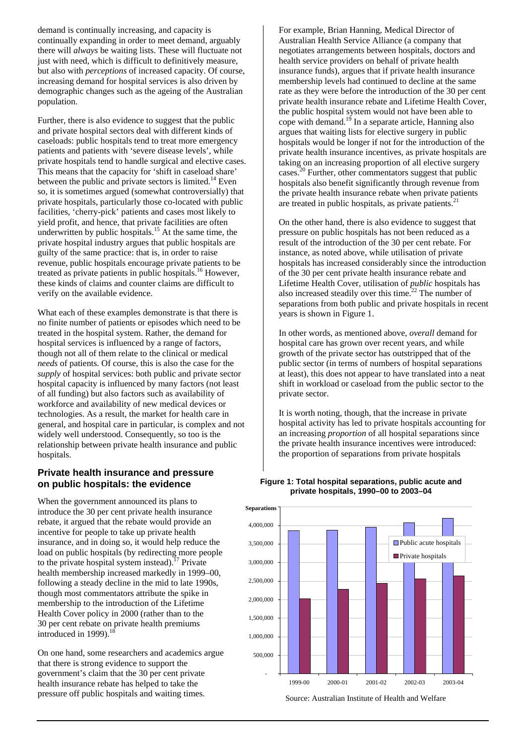demand is continually increasing, and capacity is continually expanding in order to meet demand, arguably there will *always* be waiting lists. These will fluctuate not just with need, which is difficult to definitively measure, but also with *perceptions* of increased capacity. Of course, increasing demand for hospital services is also driven by demographic changes such as the ageing of the Australian population.

Further, there is also evidence to suggest that the public and private hospital sectors deal with different kinds of caseloads: public hospitals tend to treat more emergency patients and patients with 'severe disease levels', while private hospitals tend to handle surgical and elective cases. This means that the capacity for 'shift in caseload share' between the public and private sectors is limited.<sup>14</sup> Even so, it is sometimes argued (somewhat controversially) that private hospitals, particularly those co-located with public facilities, 'cherry-pick' patients and cases most likely to yield profit, and hence, that private facilities are often underwritten by public hospitals.<sup>15</sup> At the same time, the private hospital industry argues that public hospitals are guilty of the same practice: that is, in order to raise revenue, public hospitals encourage private patients to be treated as private patients in public hospitals.[16 H](#page-3-15)owever, these kinds of claims and counter claims are difficult to verify on the available evidence.

What each of these examples demonstrate is that there is no finite number of patients or episodes which need to be treated in the hospital system. Rather, the demand for hospital services is influenced by a range of factors, though not all of them relate to the clinical or medical *needs* of patients. Of course, this is also the case for the *supply* of hospital services: both public and private sector hospital capacity is influenced by many factors (not least of all funding) but also factors such as availability of workforce and availability of new medical devices or technologies. As a result, the market for health care in general, and hospital care in particular, is complex and not widely well understood. Consequently, so too is the relationship between private health insurance and public hospitals.

## **Private health insurance and pressure on public hospitals: the evidence**

When the government announced its plans to introduce the 30 per cent private health insurance rebate, it argued that the rebate would provide an incentive for people to take up private health insurance, and in doing so, it would help reduce the load on public hospitals (by redirecting more people to the private hospital system instead).<sup>17</sup> Private health membership increased markedly in 1999–00, following a steady decline in the mid to late 1990s, though most commentators attribute the spike in membership to the introduction of the Lifetime Health Cover policy in 2000 (rather than to the 30 per cent rebate on private health premiums introduced in 1999). $18$ 

On one hand, some researchers and academics argue that there is strong evidence to support the government's claim that the 30 per cent private health insurance rebate has helped to take the pressure off public hospitals and waiting times.

For example, Brian Hanning, Medical Director of Australian Health Service Alliance (a company that negotiates arrangements between hospitals, doctors and health service providers on behalf of private health insurance funds), argues that if private health insurance membership levels had continued to decline at the same rate as they were before the introduction of the 30 per cent private health insurance rebate and Lifetime Health Cover, the public hospital system would not have been able to cope with demand.<sup>19</sup> In a separate article, Hanning also argues that waiting lists for elective surgery in public hospitals would be longer if not for the introduction of the private health insurance incentives, as private hospitals are taking on an increasing proportion of all elective surgery cases.<sup>20</sup> Further, other commentators suggest that public hospitals also benefit significantly through revenue from the private health insurance rebate when private patients are treated in public hospitals, as private patients. $21$ 

On the other hand, there is also evidence to suggest that pressure on public hospitals has not been reduced as a result of the introduction of the 30 per cent rebate. For instance, as noted above, while utilisation of private hospitals has increased considerably since the introduction of the 30 per cent private health insurance rebate and Lifetime Health Cover, utilisation of *public* hospitals has also increased steadily over this time.<sup>22</sup> The number of separations from both public and private hospitals in recent years is shown in Figure 1.

In other words, as mentioned above, *overall* demand for hospital care has grown over recent years, and while growth of the private sector has outstripped that of the public sector (in terms of numbers of hospital separations at least), this does not appear to have translated into a neat shift in workload or caseload from the public sector to the private sector.

It is worth noting, though, that the increase in private hospital activity has led to private hospitals accounting for an increasing *proportion* of all hospital separations since the private health insurance incentives were introduced: the proportion of separations from private hospitals



#### **Figure 1: Total hospital separations, public acute and private hospitals, 1990–00 to 2003–04**

Source: Australian Institute of Health and Welfare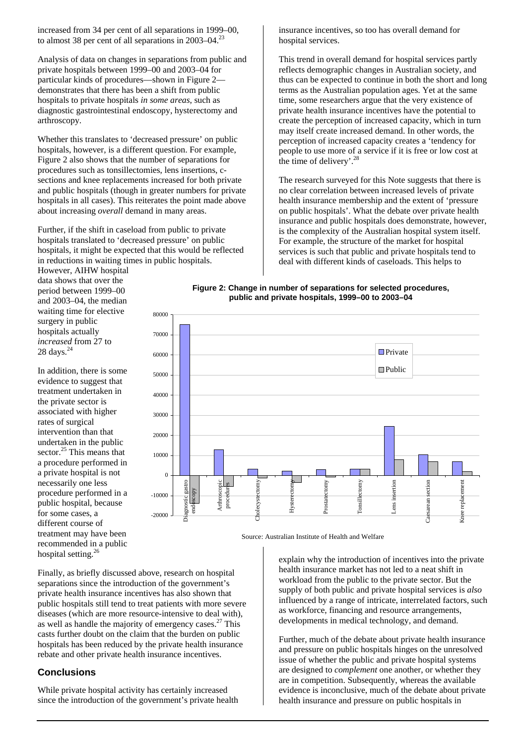increased from 34 per cent of all separations in 1999–00, to almost 38 per cent of all separations in 2003–04.<sup>[23](#page-3-22)</sup>

Analysis of data on changes in separations from public and private hospitals between 1999–00 and 2003–04 for particular kinds of procedures—shown in Figure 2 demonstrates that there has been a shift from public hospitals to private hospitals *in some areas*, such as diagnostic gastrointestinal endoscopy, hysterectomy and arthroscopy.

Whether this translates to 'decreased pressure' on public hospitals, however, is a different question. For example, Figure 2 also shows that the number of separations for procedures such as tonsillectomies, lens insertions, csections and knee replacements increased for both private and public hospitals (though in greater numbers for private hospitals in all cases). This reiterates the point made above about increasing *overall* demand in many areas.

Further, if the shift in caseload from public to private hospitals translated to 'decreased pressure' on public hospitals, it might be expected that this would be reflected in reductions in waiting times in public hospitals.

However, AIHW hospital data shows that over the period between 1999–00 and 2003–04, the median waiting time for elective surgery in public hospitals actually *increased* from 27 to  $28 \text{ days.}^{24}$  $28 \text{ days.}^{24}$  $28 \text{ days.}^{24}$ 

In addition, there is some evidence to suggest that treatment undertaken in the private sector is associated with higher rates of surgical intervention than that undertaken in the public  $\frac{25}{25}$  This means that a procedure performed in a private hospital is not necessarily one less procedure performed in a public hospital, because for some cases, a different course of treatment may have been recommended in a public hospital setting.<sup>26</sup>

insurance incentives, so too has overall demand for hospital services.

This trend in overall demand for hospital services partly reflects demographic changes in Australian society, and thus can be expected to continue in both the short and long terms as the Australian population ages. Yet at the same time, some researchers argue that the very existence of private health insurance incentives have the potential to create the perception of increased capacity, which in turn may itself create increased demand. In other words, the perception of increased capacity creates a 'tendency for people to use more of a service if it is free or low cost at the time of delivery'.<sup>[28](#page-3-27)</sup>

The research surveyed for this Note suggests that there is no clear correlation between increased levels of private health insurance membership and the extent of 'pressure on public hospitals'. What the debate over private health insurance and public hospitals does demonstrate, however, is the complexity of the Australian hospital system itself. For example, the structure of the market for hospital services is such that public and private hospitals tend to deal with different kinds of caseloads. This helps to





Source: Australian Institute of Health and Welfare

Finally, as briefly discussed above, research on hospital separations since the introduction of the government's private health insurance incentives has also shown that public hospitals still tend to treat patients with more severe diseases (which are more resource-intensive to deal with), as well as handle the majority of emergency cases.<sup>27</sup> This casts further doubt on the claim that the burden on public hospitals has been reduced by the private health insurance rebate and other private health insurance incentives.

## **Conclusions**

While private hospital activity has certainly increased since the introduction of the government's private health

explain why the introduction of incentives into the private health insurance market has not led to a neat shift in workload from the public to the private sector. But the supply of both public and private hospital services is *also* influenced by a range of intricate, interrelated factors, such as workforce, financing and resource arrangements, developments in medical technology, and demand.

Further, much of the debate about private health insurance and pressure on public hospitals hinges on the unresolved issue of whether the public and private hospital systems are designed to *complement* one another, or whether they are in competition. Subsequently, whereas the available evidence is inconclusive, much of the debate about private health insurance and pressure on public hospitals in